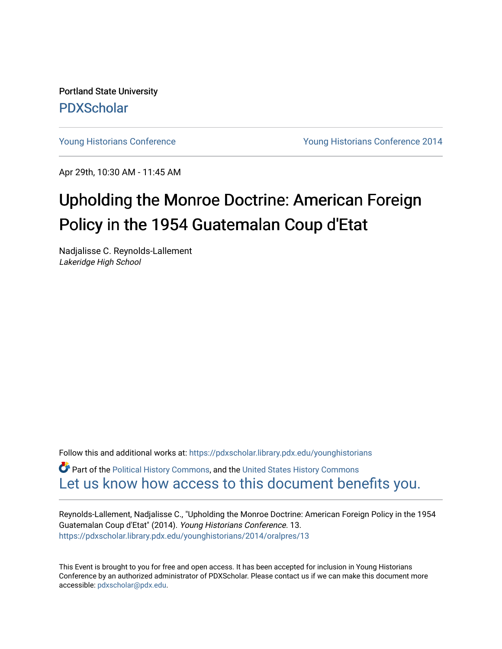Portland State University [PDXScholar](https://pdxscholar.library.pdx.edu/)

[Young Historians Conference](https://pdxscholar.library.pdx.edu/younghistorians) [Young Historians Conference 2014](https://pdxscholar.library.pdx.edu/younghistorians/2014) 

Apr 29th, 10:30 AM - 11:45 AM

## Upholding the Monroe Doctrine: American Foreign Policy in the 1954 Guatemalan Coup d'Etat

Nadjalisse C. Reynolds-Lallement Lakeridge High School

Follow this and additional works at: [https://pdxscholar.library.pdx.edu/younghistorians](https://pdxscholar.library.pdx.edu/younghistorians?utm_source=pdxscholar.library.pdx.edu%2Fyounghistorians%2F2014%2Foralpres%2F13&utm_medium=PDF&utm_campaign=PDFCoverPages)

Part of the [Political History Commons,](http://network.bepress.com/hgg/discipline/505?utm_source=pdxscholar.library.pdx.edu%2Fyounghistorians%2F2014%2Foralpres%2F13&utm_medium=PDF&utm_campaign=PDFCoverPages) and the [United States History Commons](http://network.bepress.com/hgg/discipline/495?utm_source=pdxscholar.library.pdx.edu%2Fyounghistorians%2F2014%2Foralpres%2F13&utm_medium=PDF&utm_campaign=PDFCoverPages) [Let us know how access to this document benefits you.](http://library.pdx.edu/services/pdxscholar-services/pdxscholar-feedback/) 

Reynolds-Lallement, Nadjalisse C., "Upholding the Monroe Doctrine: American Foreign Policy in the 1954 Guatemalan Coup d'Etat" (2014). Young Historians Conference. 13. [https://pdxscholar.library.pdx.edu/younghistorians/2014/oralpres/13](https://pdxscholar.library.pdx.edu/younghistorians/2014/oralpres/13?utm_source=pdxscholar.library.pdx.edu%2Fyounghistorians%2F2014%2Foralpres%2F13&utm_medium=PDF&utm_campaign=PDFCoverPages)

This Event is brought to you for free and open access. It has been accepted for inclusion in Young Historians Conference by an authorized administrator of PDXScholar. Please contact us if we can make this document more accessible: [pdxscholar@pdx.edu.](mailto:pdxscholar@pdx.edu)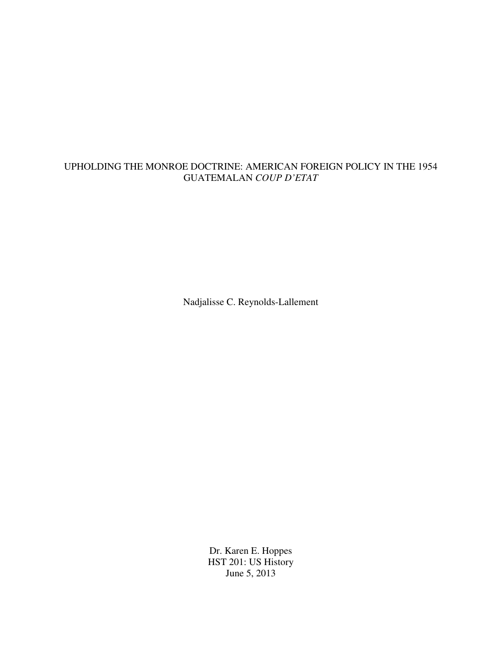## UPHOLDING THE MONROE DOCTRINE: AMERICAN FOREIGN POLICY IN THE 1954 GUATEMALAN *COUP D'ETAT*

Nadjalisse C. Reynolds-Lallement

Dr. Karen E. Hoppes HST 201: US History June 5, 2013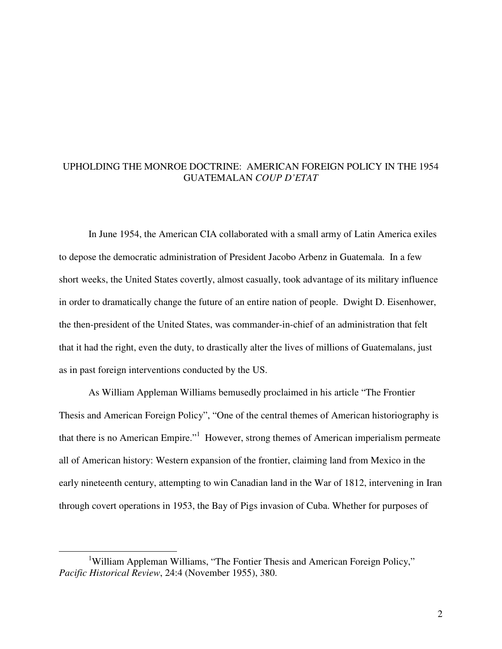## UPHOLDING THE MONROE DOCTRINE: AMERICAN FOREIGN POLICY IN THE 1954 GUATEMALAN *COUP D'ETAT*

In June 1954, the American CIA collaborated with a small army of Latin America exiles to depose the democratic administration of President Jacobo Arbenz in Guatemala. In a few short weeks, the United States covertly, almost casually, took advantage of its military influence in order to dramatically change the future of an entire nation of people. Dwight D. Eisenhower, the then-president of the United States, was commander-in-chief of an administration that felt that it had the right, even the duty, to drastically alter the lives of millions of Guatemalans, just as in past foreign interventions conducted by the US.

As William Appleman Williams bemusedly proclaimed in his article "The Frontier Thesis and American Foreign Policy", "One of the central themes of American historiography is that there is no American Empire."<sup>1</sup> However, strong themes of American imperialism permeate all of American history: Western expansion of the frontier, claiming land from Mexico in the early nineteenth century, attempting to win Canadian land in the War of 1812, intervening in Iran through covert operations in 1953, the Bay of Pigs invasion of Cuba. Whether for purposes of

<sup>&</sup>lt;sup>1</sup>William Appleman Williams, "The Fontier Thesis and American Foreign Policy," *Pacific Historical Review*, 24:4 (November 1955), 380.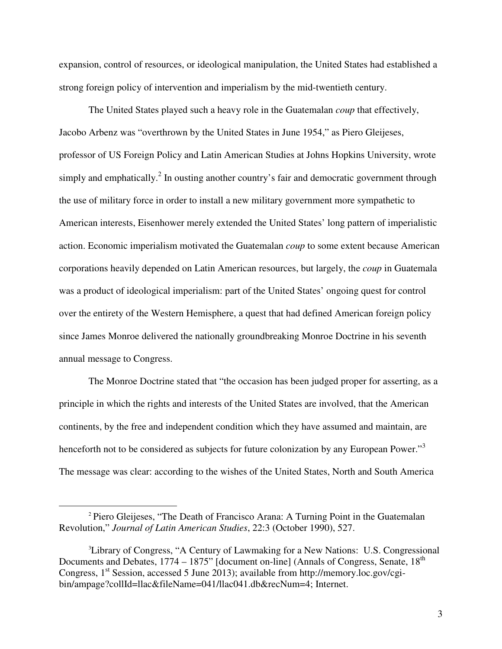expansion, control of resources, or ideological manipulation, the United States had established a strong foreign policy of intervention and imperialism by the mid-twentieth century.

The United States played such a heavy role in the Guatemalan *coup* that effectively, Jacobo Arbenz was "overthrown by the United States in June 1954," as Piero Gleijeses, professor of US Foreign Policy and Latin American Studies at Johns Hopkins University, wrote simply and emphatically.<sup>2</sup> In ousting another country's fair and democratic government through the use of military force in order to install a new military government more sympathetic to American interests, Eisenhower merely extended the United States' long pattern of imperialistic action. Economic imperialism motivated the Guatemalan *coup* to some extent because American corporations heavily depended on Latin American resources, but largely, the *coup* in Guatemala was a product of ideological imperialism: part of the United States' ongoing quest for control over the entirety of the Western Hemisphere, a quest that had defined American foreign policy since James Monroe delivered the nationally groundbreaking Monroe Doctrine in his seventh annual message to Congress.

The Monroe Doctrine stated that "the occasion has been judged proper for asserting, as a principle in which the rights and interests of the United States are involved, that the American continents, by the free and independent condition which they have assumed and maintain, are henceforth not to be considered as subjects for future colonization by any European Power."<sup>3</sup> The message was clear: according to the wishes of the United States, North and South America

 $\overline{a}$ 

3

<sup>2</sup> Piero Gleijeses, "The Death of Francisco Arana: A Turning Point in the Guatemalan Revolution," *Journal of Latin American Studies*, 22:3 (October 1990), 527.

<sup>3</sup>Library of Congress, "A Century of Lawmaking for a New Nations: U.S. Congressional Documents and Debates, 1774 – 1875" [document on-line] (Annals of Congress, Senate, 18<sup>th</sup>) Congress,  $1<sup>st</sup>$  Session, accessed 5 June 2013); available from http://memory.loc.gov/cgibin/ampage?collId=llac&fileName=041/llac041.db&recNum=4; Internet.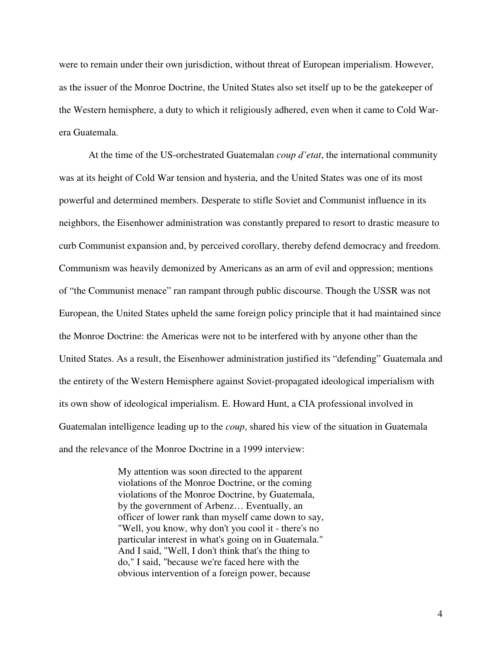were to remain under their own jurisdiction, without threat of European imperialism. However, as the issuer of the Monroe Doctrine, the United States also set itself up to be the gatekeeper of the Western hemisphere, a duty to which it religiously adhered, even when it came to Cold Warera Guatemala.

At the time of the US-orchestrated Guatemalan *coup d'etat*, the international community was at its height of Cold War tension and hysteria, and the United States was one of its most powerful and determined members. Desperate to stifle Soviet and Communist influence in its neighbors, the Eisenhower administration was constantly prepared to resort to drastic measure to curb Communist expansion and, by perceived corollary, thereby defend democracy and freedom. Communism was heavily demonized by Americans as an arm of evil and oppression; mentions of "the Communist menace" ran rampant through public discourse. Though the USSR was not European, the United States upheld the same foreign policy principle that it had maintained since the Monroe Doctrine: the Americas were not to be interfered with by anyone other than the United States. As a result, the Eisenhower administration justified its "defending" Guatemala and the entirety of the Western Hemisphere against Soviet-propagated ideological imperialism with its own show of ideological imperialism. E. Howard Hunt, a CIA professional involved in Guatemalan intelligence leading up to the *coup*, shared his view of the situation in Guatemala and the relevance of the Monroe Doctrine in a 1999 interview:

> My attention was soon directed to the apparent violations of the Monroe Doctrine, or the coming violations of the Monroe Doctrine, by Guatemala, by the government of Arbenz… Eventually, an officer of lower rank than myself came down to say, "Well, you know, why don't you cool it - there's no particular interest in what's going on in Guatemala." And I said, "Well, I don't think that's the thing to do," I said, "because we're faced here with the obvious intervention of a foreign power, because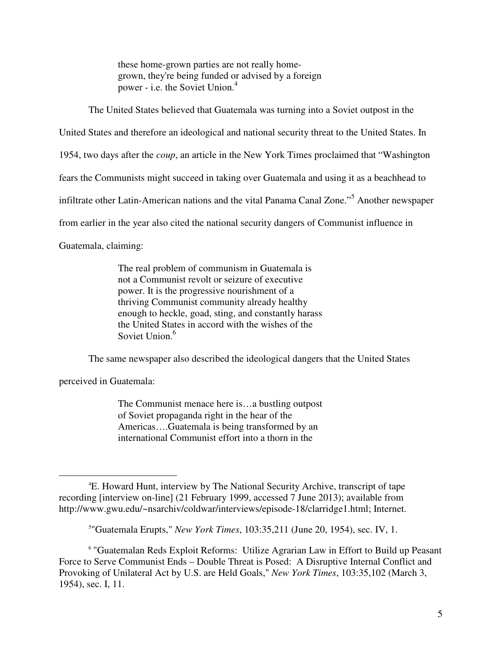these home-grown parties are not really homegrown, they're being funded or advised by a foreign power - i.e. the Soviet Union.<sup>4</sup>

The United States believed that Guatemala was turning into a Soviet outpost in the

United States and therefore an ideological and national security threat to the United States. In

1954, two days after the *coup*, an article in the New York Times proclaimed that "Washington

fears the Communists might succeed in taking over Guatemala and using it as a beachhead to

infiltrate other Latin-American nations and the vital Panama Canal Zone."<sup>5</sup> Another newspaper

from earlier in the year also cited the national security dangers of Communist influence in

Guatemala, claiming:

The real problem of communism in Guatemala is not a Communist revolt or seizure of executive power. It is the progressive nourishment of a thriving Communist community already healthy enough to heckle, goad, sting, and constantly harass the United States in accord with the wishes of the Soviet Union.<sup>6</sup>

The same newspaper also described the ideological dangers that the United States

perceived in Guatemala:

 $\overline{a}$ 

The Communist menace here is…a bustling outpost of Soviet propaganda right in the hear of the Americas….Guatemala is being transformed by an international Communist effort into a thorn in the

<sup>4</sup>E. Howard Hunt, interview by The National Security Archive, transcript of tape recording [interview on-line] (21 February 1999, accessed 7 June 2013); available from http://www.gwu.edu/~nsarchiv/coldwar/interviews/episode-18/clarridge1.html; Internet.

<sup>5</sup> "Guatemala Erupts," *New York Times*, 103:35,211 (June 20, 1954), sec. IV, 1.

<sup>&</sup>lt;sup>6</sup> "Guatemalan Reds Exploit Reforms: Utilize Agrarian Law in Effort to Build up Peasant Force to Serve Communist Ends – Double Threat is Posed: A Disruptive Internal Conflict and Provoking of Unilateral Act by U.S. are Held Goals," *New York Times*, 103:35,102 (March 3, 1954), sec. I, 11.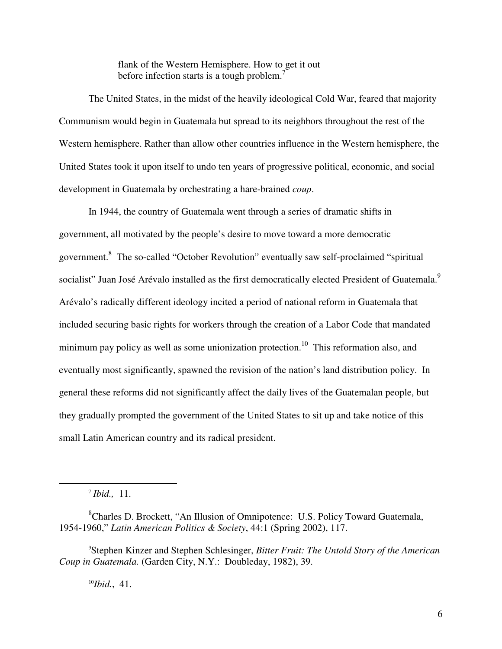flank of the Western Hemisphere. How to get it out before infection starts is a tough problem.<sup>7</sup>

The United States, in the midst of the heavily ideological Cold War, feared that majority Communism would begin in Guatemala but spread to its neighbors throughout the rest of the Western hemisphere. Rather than allow other countries influence in the Western hemisphere, the United States took it upon itself to undo ten years of progressive political, economic, and social development in Guatemala by orchestrating a hare-brained *coup*.

In 1944, the country of Guatemala went through a series of dramatic shifts in government, all motivated by the people's desire to move toward a more democratic government.<sup>8</sup> The so-called "October Revolution" eventually saw self-proclaimed "spiritual socialist" Juan José Arévalo installed as the first democratically elected President of Guatemala.<sup>9</sup> Arévalo's radically different ideology incited a period of national reform in Guatemala that included securing basic rights for workers through the creation of a Labor Code that mandated minimum pay policy as well as some unionization protection.<sup>10</sup> This reformation also, and eventually most significantly, spawned the revision of the nation's land distribution policy. In general these reforms did not significantly affect the daily lives of the Guatemalan people, but they gradually prompted the government of the United States to sit up and take notice of this small Latin American country and its radical president.

7 *Ibid.,* 11.

 $\overline{a}$ 

10*Ibid.*, 41.

<sup>&</sup>lt;sup>8</sup>Charles D. Brockett, "An Illusion of Omnipotence: U.S. Policy Toward Guatemala, 1954-1960," *Latin American Politics & Society*, 44:1 (Spring 2002), 117.

<sup>9</sup>Stephen Kinzer and Stephen Schlesinger, *Bitter Fruit: The Untold Story of the American Coup in Guatemala.* (Garden City, N.Y.: Doubleday, 1982), 39.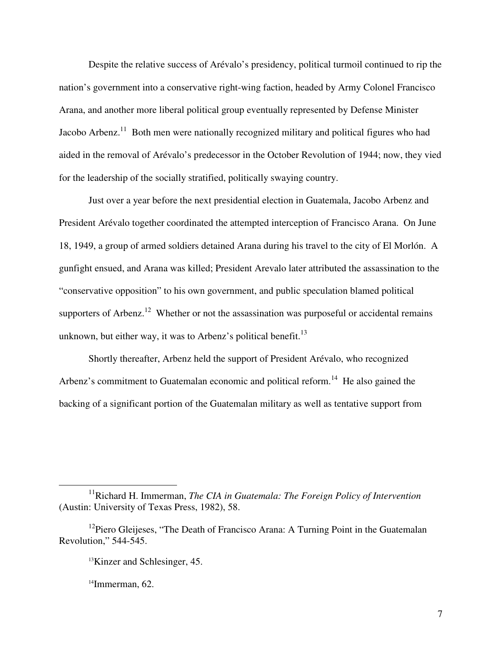Despite the relative success of Arévalo's presidency, political turmoil continued to rip the nation's government into a conservative right-wing faction, headed by Army Colonel Francisco Arana, and another more liberal political group eventually represented by Defense Minister Jacobo Arbenz.<sup>11</sup> Both men were nationally recognized military and political figures who had aided in the removal of Arévalo's predecessor in the October Revolution of 1944; now, they vied for the leadership of the socially stratified, politically swaying country.

Just over a year before the next presidential election in Guatemala, Jacobo Arbenz and President Arévalo together coordinated the attempted interception of Francisco Arana. On June 18, 1949, a group of armed soldiers detained Arana during his travel to the city of El Morlón. A gunfight ensued, and Arana was killed; President Arevalo later attributed the assassination to the "conservative opposition" to his own government, and public speculation blamed political supporters of Arbenz.<sup>12</sup> Whether or not the assassination was purposeful or accidental remains unknown, but either way, it was to Arbenz's political benefit.<sup>13</sup>

Shortly thereafter, Arbenz held the support of President Arévalo, who recognized Arbenz's commitment to Guatemalan economic and political reform.<sup>14</sup> He also gained the backing of a significant portion of the Guatemalan military as well as tentative support from

<sup>&</sup>lt;sup>11</sup>Richard H. Immerman, *The CIA in Guatemala: The Foreign Policy of Intervention* (Austin: University of Texas Press, 1982), 58.

 $12$ Piero Gleijeses, "The Death of Francisco Arana: A Turning Point in the Guatemalan Revolution," 544-545.

<sup>&</sup>lt;sup>13</sup>Kinzer and Schlesinger, 45.

 $14$ Immerman, 62.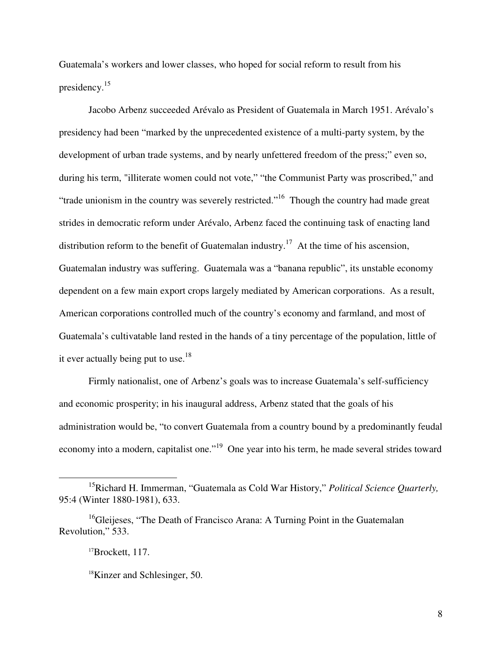Guatemala's workers and lower classes, who hoped for social reform to result from his presidency.<sup>15</sup>

 Jacobo Arbenz succeeded Arévalo as President of Guatemala in March 1951. Arévalo's presidency had been "marked by the unprecedented existence of a multi-party system, by the development of urban trade systems, and by nearly unfettered freedom of the press;" even so, during his term, "illiterate women could not vote," "the Communist Party was proscribed," and "trade unionism in the country was severely restricted."<sup>16</sup> Though the country had made great strides in democratic reform under Arévalo, Arbenz faced the continuing task of enacting land distribution reform to the benefit of Guatemalan industry.<sup>17</sup> At the time of his ascension, Guatemalan industry was suffering. Guatemala was a "banana republic", its unstable economy dependent on a few main export crops largely mediated by American corporations. As a result, American corporations controlled much of the country's economy and farmland, and most of Guatemala's cultivatable land rested in the hands of a tiny percentage of the population, little of it ever actually being put to use.<sup>18</sup>

Firmly nationalist, one of Arbenz's goals was to increase Guatemala's self-sufficiency and economic prosperity; in his inaugural address, Arbenz stated that the goals of his administration would be, "to convert Guatemala from a country bound by a predominantly feudal economy into a modern, capitalist one."<sup>19</sup> One year into his term, he made several strides toward

<sup>15</sup>Richard H. Immerman, "Guatemala as Cold War History," *Political Science Quarterly,*  95:4 (Winter 1880-1981), 633.

<sup>&</sup>lt;sup>16</sup>Gleijeses, "The Death of Francisco Arana: A Turning Point in the Guatemalan Revolution," 533.

<sup>17</sup>Brockett, 117.

<sup>18</sup>Kinzer and Schlesinger, 50.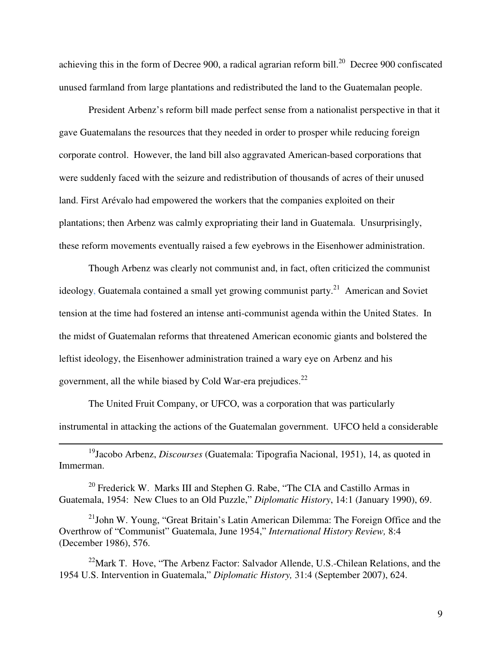achieving this in the form of Decree 900, a radical agrarian reform bill.<sup>20</sup> Decree 900 confiscated unused farmland from large plantations and redistributed the land to the Guatemalan people.

President Arbenz's reform bill made perfect sense from a nationalist perspective in that it gave Guatemalans the resources that they needed in order to prosper while reducing foreign corporate control. However, the land bill also aggravated American-based corporations that were suddenly faced with the seizure and redistribution of thousands of acres of their unused land. First Arévalo had empowered the workers that the companies exploited on their plantations; then Arbenz was calmly expropriating their land in Guatemala. Unsurprisingly, these reform movements eventually raised a few eyebrows in the Eisenhower administration.

Though Arbenz was clearly not communist and, in fact, often criticized the communist ideology, Guatemala contained a small yet growing communist party.<sup>21</sup> American and Soviet tension at the time had fostered an intense anti-communist agenda within the United States. In the midst of Guatemalan reforms that threatened American economic giants and bolstered the leftist ideology, the Eisenhower administration trained a wary eye on Arbenz and his government, all the while biased by Cold War-era prejudices.<sup>22</sup>

The United Fruit Company, or UFCO, was a corporation that was particularly instrumental in attacking the actions of the Guatemalan government. UFCO held a considerable

<sup>19</sup>Jacobo Arbenz, *Discourses* (Guatemala: Tipografia Nacional, 1951), 14, as quoted in Immerman.

 $\overline{a}$ 

<sup>20</sup> Frederick W. Marks III and Stephen G. Rabe, "The CIA and Castillo Armas in Guatemala, 1954: New Clues to an Old Puzzle," *Diplomatic History*, 14:1 (January 1990), 69.

 $^{21}$ John W. Young, "Great Britain's Latin American Dilemma: The Foreign Office and the Overthrow of "Communist" Guatemala, June 1954," *International History Review,* 8:4 (December 1986), 576.

 $^{22}$ Mark T. Hove, "The Arbenz Factor: Salvador Allende, U.S.-Chilean Relations, and the 1954 U.S. Intervention in Guatemala," *Diplomatic History,* 31:4 (September 2007), 624.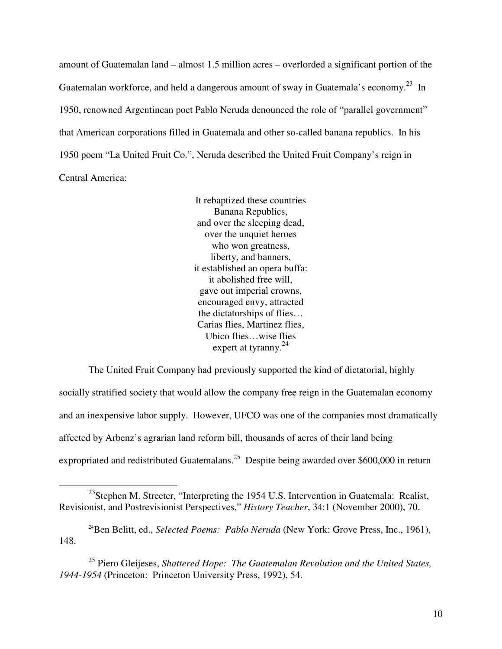amount of Guatemalan land – almost 1.5 million acres – overlorded a significant portion of the Guatemalan workforce, and held a dangerous amount of sway in Guatemala's economy.<sup>23</sup> In 1950, renowned Argentinean poet Pablo Neruda denounced the role of "parallel government" that American corporations filled in Guatemala and other so-called banana republics. In his 1950 poem "La United Fruit Co.", Neruda described the United Fruit Company's reign in Central America:

> It rebaptized these countries Banana Republics, and over the sleeping dead, over the unquiet heroes who won greatness, liberty, and banners, it established an opera buffa: it abolished free will, gave out imperial crowns, encouraged envy, attracted the dictatorships of flies… Carias flies, Martinez flies, Ubico flies…wise flies expert at tyranny. $^{24}$

The United Fruit Company had previously supported the kind of dictatorial, highly socially stratified society that would allow the company free reign in the Guatemalan economy and an inexpensive labor supply. However, UFCO was one of the companies most dramatically affected by Arbenz's agrarian land reform bill, thousands of acres of their land being expropriated and redistributed Guatemalans.<sup>25</sup> Despite being awarded over \$600,000 in return

-

<sup>&</sup>lt;sup>23</sup>Stephen M. Streeter, "Interpreting the 1954 U.S. Intervention in Guatemala: Realist, Revisionist, and Postrevisionist Perspectives," *History Teacher*, 34:1 (November 2000), 70.

<sup>&</sup>lt;sup>24</sup>Ben Belitt, ed., *Selected Poems: Pablo Neruda* (New York: Grove Press, Inc., 1961), 148.

<sup>25</sup> Piero Gleijeses, *Shattered Hope: The Guatemalan Revolution and the United States, 1944-1954* (Princeton: Princeton University Press, 1992), 54.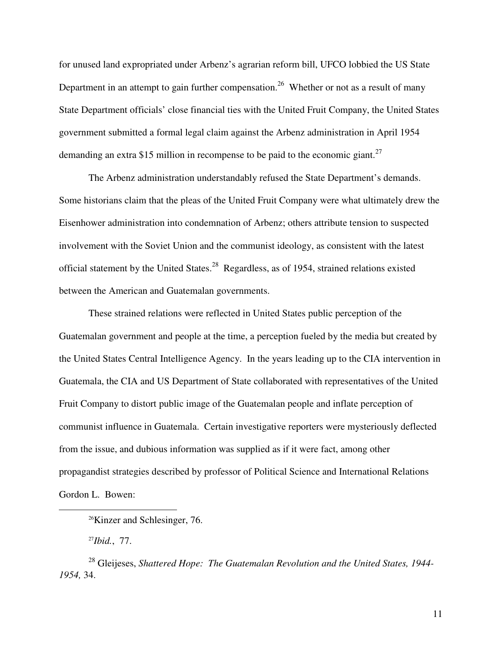for unused land expropriated under Arbenz's agrarian reform bill, UFCO lobbied the US State Department in an attempt to gain further compensation.<sup>26</sup> Whether or not as a result of many State Department officials' close financial ties with the United Fruit Company, the United States government submitted a formal legal claim against the Arbenz administration in April 1954 demanding an extra \$15 million in recompense to be paid to the economic giant.<sup>27</sup>

The Arbenz administration understandably refused the State Department's demands. Some historians claim that the pleas of the United Fruit Company were what ultimately drew the Eisenhower administration into condemnation of Arbenz; others attribute tension to suspected involvement with the Soviet Union and the communist ideology, as consistent with the latest official statement by the United States.<sup>28</sup> Regardless, as of 1954, strained relations existed between the American and Guatemalan governments.

These strained relations were reflected in United States public perception of the Guatemalan government and people at the time, a perception fueled by the media but created by the United States Central Intelligence Agency. In the years leading up to the CIA intervention in Guatemala, the CIA and US Department of State collaborated with representatives of the United Fruit Company to distort public image of the Guatemalan people and inflate perception of communist influence in Guatemala. Certain investigative reporters were mysteriously deflected from the issue, and dubious information was supplied as if it were fact, among other propagandist strategies described by professor of Political Science and International Relations Gordon L. Bowen:

<sup>27</sup>*Ibid.*, 77.

 $\overline{a}$ 

<sup>28</sup> Gleijeses, *Shattered Hope: The Guatemalan Revolution and the United States, 1944- 1954,* 34.

<sup>26</sup>Kinzer and Schlesinger, 76.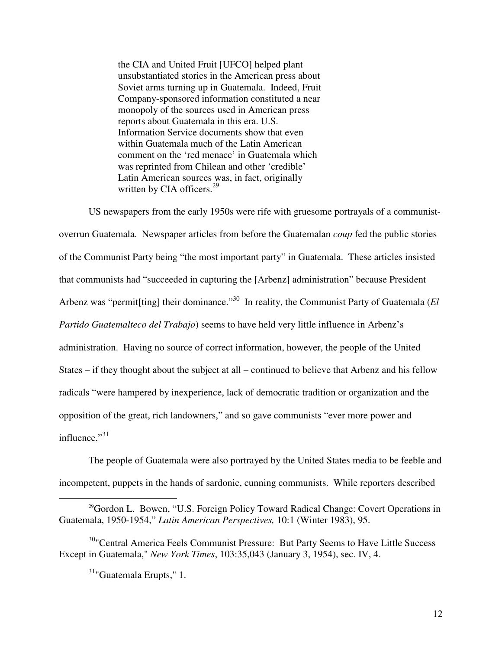the CIA and United Fruit [UFCO] helped plant unsubstantiated stories in the American press about Soviet arms turning up in Guatemala. Indeed, Fruit Company-sponsored information constituted a near monopoly of the sources used in American press reports about Guatemala in this era. U.S. Information Service documents show that even within Guatemala much of the Latin American comment on the 'red menace' in Guatemala which was reprinted from Chilean and other 'credible' Latin American sources was, in fact, originally written by CIA officers.<sup>29</sup>

US newspapers from the early 1950s were rife with gruesome portrayals of a communistoverrun Guatemala. Newspaper articles from before the Guatemalan *coup* fed the public stories of the Communist Party being "the most important party" in Guatemala. These articles insisted that communists had "succeeded in capturing the [Arbenz] administration" because President Arbenz was "permit<sup>[ting]</sup> their dominance."<sup>30</sup> In reality, the Communist Party of Guatemala (*El Partido Guatemalteco del Trabajo*) seems to have held very little influence in Arbenz's administration. Having no source of correct information, however, the people of the United States – if they thought about the subject at all – continued to believe that Arbenz and his fellow radicals "were hampered by inexperience, lack of democratic tradition or organization and the opposition of the great, rich landowners," and so gave communists "ever more power and influence." $31$ 

The people of Guatemala were also portrayed by the United States media to be feeble and incompetent, puppets in the hands of sardonic, cunning communists. While reporters described

<sup>&</sup>lt;sup>29</sup>Gordon L. Bowen, "U.S. Foreign Policy Toward Radical Change: Covert Operations in Guatemala, 1950-1954," *Latin American Perspectives,* 10:1 (Winter 1983), 95.

<sup>&</sup>lt;sup>30</sup>"Central America Feels Communist Pressure: But Party Seems to Have Little Success Except in Guatemala," *New York Times*, 103:35,043 (January 3, 1954), sec. IV, 4.

<sup>31</sup>"Guatemala Erupts," 1.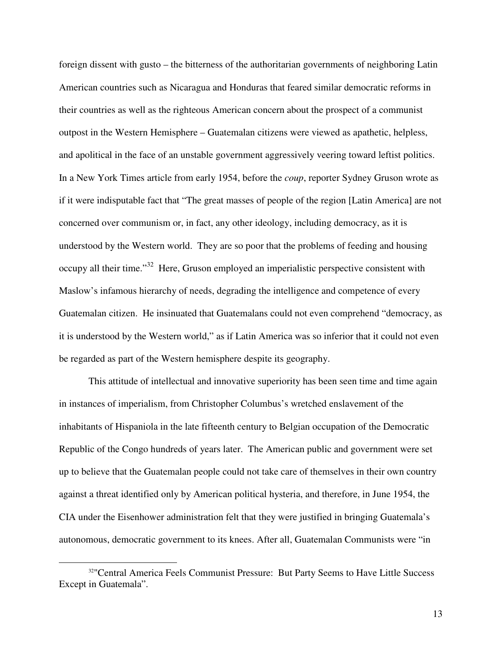foreign dissent with gusto – the bitterness of the authoritarian governments of neighboring Latin American countries such as Nicaragua and Honduras that feared similar democratic reforms in their countries as well as the righteous American concern about the prospect of a communist outpost in the Western Hemisphere – Guatemalan citizens were viewed as apathetic, helpless, and apolitical in the face of an unstable government aggressively veering toward leftist politics. In a New York Times article from early 1954, before the *coup*, reporter Sydney Gruson wrote as if it were indisputable fact that "The great masses of people of the region [Latin America] are not concerned over communism or, in fact, any other ideology, including democracy, as it is understood by the Western world. They are so poor that the problems of feeding and housing occupy all their time."<sup>32</sup> Here, Gruson employed an imperialistic perspective consistent with Maslow's infamous hierarchy of needs, degrading the intelligence and competence of every Guatemalan citizen. He insinuated that Guatemalans could not even comprehend "democracy, as it is understood by the Western world," as if Latin America was so inferior that it could not even be regarded as part of the Western hemisphere despite its geography.

This attitude of intellectual and innovative superiority has been seen time and time again in instances of imperialism, from Christopher Columbus's wretched enslavement of the inhabitants of Hispaniola in the late fifteenth century to Belgian occupation of the Democratic Republic of the Congo hundreds of years later. The American public and government were set up to believe that the Guatemalan people could not take care of themselves in their own country against a threat identified only by American political hysteria, and therefore, in June 1954, the CIA under the Eisenhower administration felt that they were justified in bringing Guatemala's autonomous, democratic government to its knees. After all, Guatemalan Communists were "in

<sup>&</sup>lt;sup>32</sup>"Central America Feels Communist Pressure: But Party Seems to Have Little Success Except in Guatemala".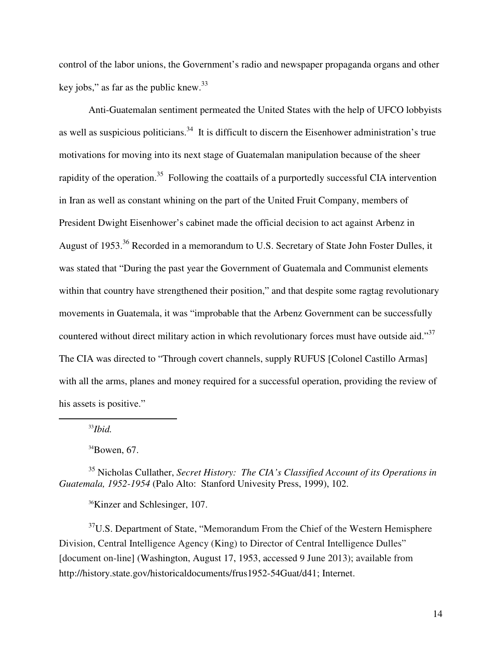control of the labor unions, the Government's radio and newspaper propaganda organs and other key jobs," as far as the public knew. $33$ 

Anti-Guatemalan sentiment permeated the United States with the help of UFCO lobbyists as well as suspicious politicians.<sup>34</sup> It is difficult to discern the Eisenhower administration's true motivations for moving into its next stage of Guatemalan manipulation because of the sheer rapidity of the operation.<sup>35</sup> Following the coattails of a purportedly successful CIA intervention in Iran as well as constant whining on the part of the United Fruit Company, members of President Dwight Eisenhower's cabinet made the official decision to act against Arbenz in August of 1953.<sup>36</sup> Recorded in a memorandum to U.S. Secretary of State John Foster Dulles, it was stated that "During the past year the Government of Guatemala and Communist elements within that country have strengthened their position," and that despite some ragtag revolutionary movements in Guatemala, it was "improbable that the Arbenz Government can be successfully countered without direct military action in which revolutionary forces must have outside aid."<sup>37</sup> The CIA was directed to "Through covert channels, supply RUFUS [Colonel Castillo Armas] with all the arms, planes and money required for a successful operation, providing the review of his assets is positive."

<sup>33</sup>*Ibid.*

 $\overline{a}$ 

 $34$ Bowen, 67.

<sup>35</sup> Nicholas Cullather, *Secret History: The CIA's Classified Account of its Operations in Guatemala, 1952-1954* (Palo Alto: Stanford Univesity Press, 1999), 102.

<sup>36</sup>Kinzer and Schlesinger, 107.

 $37U.S.$  Department of State, "Memorandum From the Chief of the Western Hemisphere Division, Central Intelligence Agency (King) to Director of Central Intelligence Dulles" [document on-line] (Washington, August 17, 1953, accessed 9 June 2013); available from http://history.state.gov/historicaldocuments/frus1952-54Guat/d41; Internet.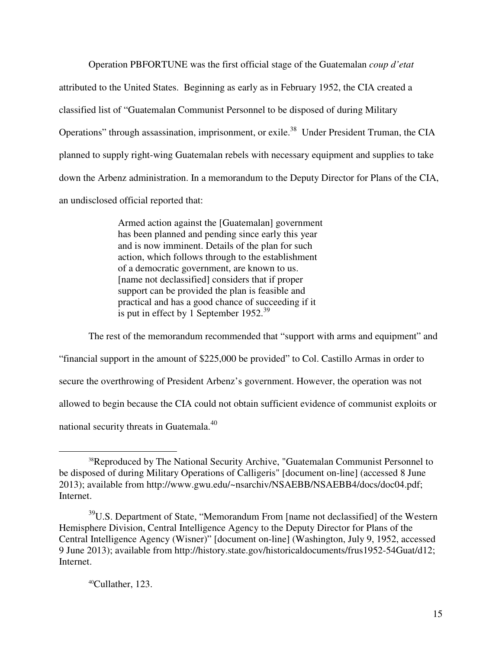Operation PBFORTUNE was the first official stage of the Guatemalan *coup d'etat* attributed to the United States. Beginning as early as in February 1952, the CIA created a classified list of "Guatemalan Communist Personnel to be disposed of during Military Operations" through assassination, imprisonment, or exile.<sup>38</sup> Under President Truman, the CIA planned to supply right-wing Guatemalan rebels with necessary equipment and supplies to take down the Arbenz administration. In a memorandum to the Deputy Director for Plans of the CIA, an undisclosed official reported that:

> Armed action against the [Guatemalan] government has been planned and pending since early this year and is now imminent. Details of the plan for such action, which follows through to the establishment of a democratic government, are known to us. [name not declassified] considers that if proper support can be provided the plan is feasible and practical and has a good chance of succeeding if it is put in effect by 1 September  $1952.^{39}$

The rest of the memorandum recommended that "support with arms and equipment" and "financial support in the amount of \$225,000 be provided" to Col. Castillo Armas in order to secure the overthrowing of President Arbenz's government. However, the operation was not allowed to begin because the CIA could not obtain sufficient evidence of communist exploits or national security threats in Guatemala.<sup>40</sup>

 $40$ Cullather, 123.

<sup>&</sup>lt;sup>38</sup>Reproduced by The National Security Archive, "Guatemalan Communist Personnel to be disposed of during Military Operations of Calligeris" [document on-line] (accessed 8 June 2013); available from http://www.gwu.edu/~nsarchiv/NSAEBB/NSAEBB4/docs/doc04.pdf; Internet.

<sup>39</sup>U.S. Department of State, "Memorandum From [name not declassified] of the Western Hemisphere Division, Central Intelligence Agency to the Deputy Director for Plans of the Central Intelligence Agency (Wisner)" [document on-line] (Washington, July 9, 1952, accessed 9 June 2013); available from http://history.state.gov/historicaldocuments/frus1952-54Guat/d12; Internet.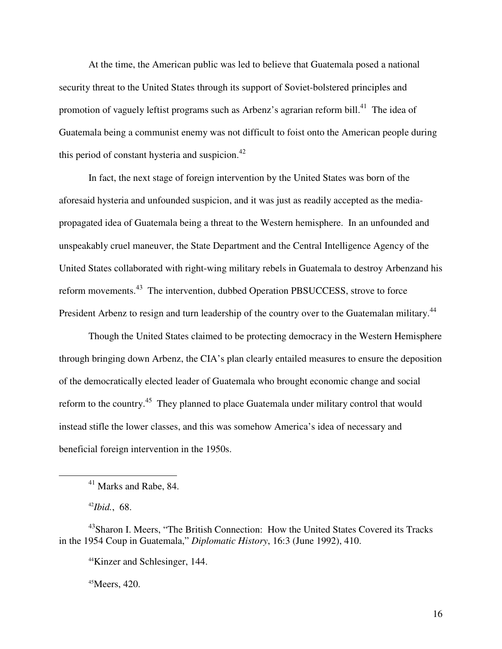At the time, the American public was led to believe that Guatemala posed a national security threat to the United States through its support of Soviet-bolstered principles and promotion of vaguely leftist programs such as Arbenz's agrarian reform bill.<sup>41</sup> The idea of Guatemala being a communist enemy was not difficult to foist onto the American people during this period of constant hysteria and suspicion. $42$ 

In fact, the next stage of foreign intervention by the United States was born of the aforesaid hysteria and unfounded suspicion, and it was just as readily accepted as the mediapropagated idea of Guatemala being a threat to the Western hemisphere. In an unfounded and unspeakably cruel maneuver, the State Department and the Central Intelligence Agency of the United States collaborated with right-wing military rebels in Guatemala to destroy Arbenzand his reform movements.<sup>43</sup> The intervention, dubbed Operation PBSUCCESS, strove to force President Arbenz to resign and turn leadership of the country over to the Guatemalan military.<sup>44</sup>

Though the United States claimed to be protecting democracy in the Western Hemisphere through bringing down Arbenz, the CIA's plan clearly entailed measures to ensure the deposition of the democratically elected leader of Guatemala who brought economic change and social reform to the country.<sup>45</sup> They planned to place Guatemala under military control that would instead stifle the lower classes, and this was somehow America's idea of necessary and beneficial foreign intervention in the 1950s.

<u>.</u>

 $45$ Meers, 420.

 $41$  Marks and Rabe, 84.

<sup>42</sup>*Ibid.*, 68.

<sup>&</sup>lt;sup>43</sup>Sharon I. Meers, "The British Connection: How the United States Covered its Tracks in the 1954 Coup in Guatemala," *Diplomatic History*, 16:3 (June 1992), 410.

<sup>44</sup>Kinzer and Schlesinger, 144.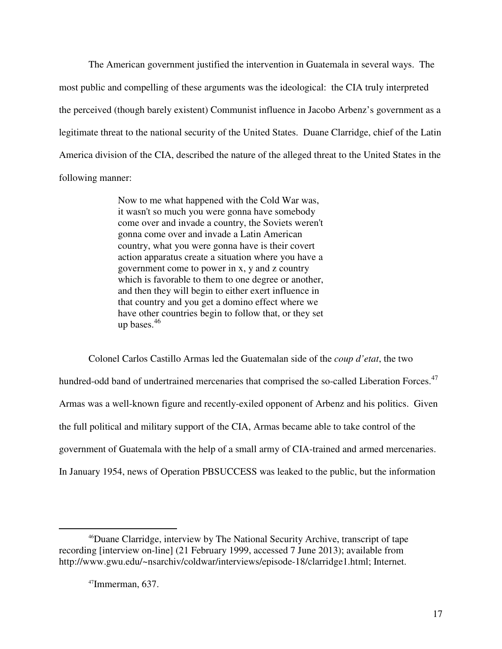The American government justified the intervention in Guatemala in several ways. The most public and compelling of these arguments was the ideological: the CIA truly interpreted the perceived (though barely existent) Communist influence in Jacobo Arbenz's government as a legitimate threat to the national security of the United States. Duane Clarridge, chief of the Latin America division of the CIA, described the nature of the alleged threat to the United States in the following manner:

> Now to me what happened with the Cold War was, it wasn't so much you were gonna have somebody come over and invade a country, the Soviets weren't gonna come over and invade a Latin American country, what you were gonna have is their covert action apparatus create a situation where you have a government come to power in x, y and z country which is favorable to them to one degree or another, and then they will begin to either exert influence in that country and you get a domino effect where we have other countries begin to follow that, or they set up bases.<sup>46</sup>

Colonel Carlos Castillo Armas led the Guatemalan side of the *coup d'etat*, the two hundred-odd band of undertrained mercenaries that comprised the so-called Liberation Forces.<sup>47</sup> Armas was a well-known figure and recently-exiled opponent of Arbenz and his politics. Given the full political and military support of the CIA, Armas became able to take control of the government of Guatemala with the help of a small army of CIA-trained and armed mercenaries. In January 1954, news of Operation PBSUCCESS was leaked to the public, but the information

<sup>46</sup>Duane Clarridge, interview by The National Security Archive, transcript of tape recording [interview on-line] (21 February 1999, accessed 7 June 2013); available from http://www.gwu.edu/~nsarchiv/coldwar/interviews/episode-18/clarridge1.html; Internet.

 $47$ Immerman, 637.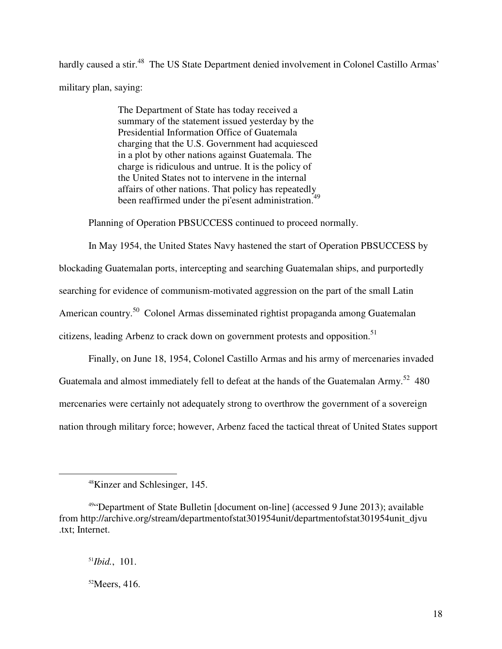hardly caused a stir.<sup>48</sup> The US State Department denied involvement in Colonel Castillo Armas' military plan, saying:

> The Department of State has today received a summary of the statement issued yesterday by the Presidential Information Office of Guatemala charging that the U.S. Government had acquiesced in a plot by other nations against Guatemala. The charge is ridiculous and untrue. It is the policy of the United States not to intervene in the internal affairs of other nations. That policy has repeatedly been reaffirmed under the pi'esent administration.<sup>49</sup>

Planning of Operation PBSUCCESS continued to proceed normally.

In May 1954, the United States Navy hastened the start of Operation PBSUCCESS by blockading Guatemalan ports, intercepting and searching Guatemalan ships, and purportedly searching for evidence of communism-motivated aggression on the part of the small Latin American country.<sup>50</sup> Colonel Armas disseminated rightist propaganda among Guatemalan citizens, leading Arbenz to crack down on government protests and opposition.<sup>51</sup>

Finally, on June 18, 1954, Colonel Castillo Armas and his army of mercenaries invaded Guatemala and almost immediately fell to defeat at the hands of the Guatemalan Army.<sup>52</sup> 480 mercenaries were certainly not adequately strong to overthrow the government of a sovereign nation through military force; however, Arbenz faced the tactical threat of United States support

<u>.</u>

<sup>48</sup>Kinzer and Schlesinger, 145.

<sup>49</sup>"Department of State Bulletin [document on-line] (accessed 9 June 2013); available from http://archive.org/stream/departmentofstat301954unit/departmentofstat301954unit\_djvu .txt; Internet.

<sup>51</sup>*Ibid.*, 101.

 $52$ Meers, 416.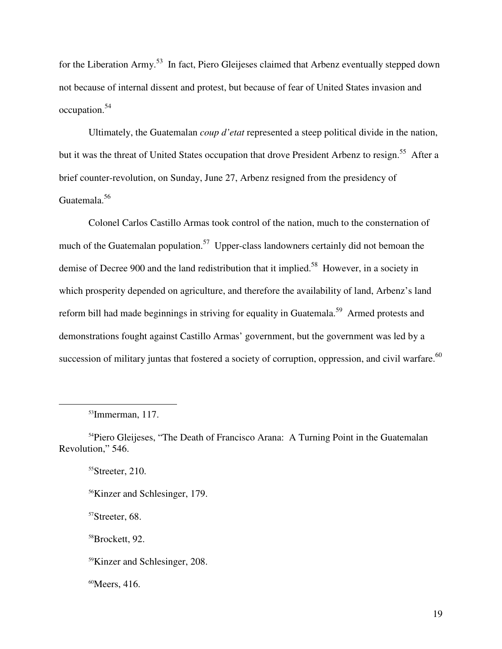for the Liberation Army.<sup>53</sup> In fact, Piero Gleijeses claimed that Arbenz eventually stepped down not because of internal dissent and protest, but because of fear of United States invasion and occupation.<sup>54</sup>

Ultimately, the Guatemalan *coup d'etat* represented a steep political divide in the nation, but it was the threat of United States occupation that drove President Arbenz to resign.<sup>55</sup> After a brief counter-revolution, on Sunday, June 27, Arbenz resigned from the presidency of Guatemala.<sup>56</sup>

Colonel Carlos Castillo Armas took control of the nation, much to the consternation of much of the Guatemalan population.<sup>57</sup> Upper-class landowners certainly did not bemoan the demise of Decree 900 and the land redistribution that it implied.<sup>58</sup> However, in a society in which prosperity depended on agriculture, and therefore the availability of land, Arbenz's land reform bill had made beginnings in striving for equality in Guatemala.<sup>59</sup> Armed protests and demonstrations fought against Castillo Armas' government, but the government was led by a succession of military juntas that fostered a society of corruption, oppression, and civil warfare.<sup>60</sup>

 $\overline{a}$ 

<sup>55</sup>Streeter, 210.

<sup>56</sup>Kinzer and Schlesinger, 179.

<sup>57</sup>Streeter, 68.

<sup>58</sup>Brockett, 92.

<sup>59</sup>Kinzer and Schlesinger, 208.

60Meers, 416.

<sup>53</sup>Immerman, 117.

<sup>&</sup>lt;sup>54</sup>Piero Gleijeses, "The Death of Francisco Arana: A Turning Point in the Guatemalan Revolution," 546.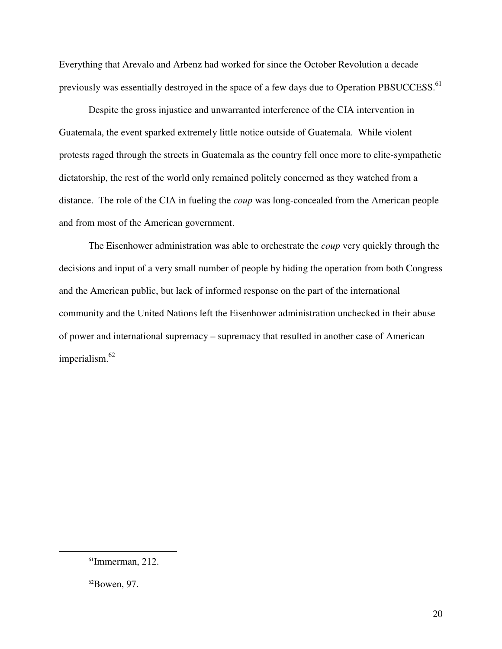Everything that Arevalo and Arbenz had worked for since the October Revolution a decade previously was essentially destroyed in the space of a few days due to Operation PBSUCCESS.<sup>61</sup>

Despite the gross injustice and unwarranted interference of the CIA intervention in Guatemala, the event sparked extremely little notice outside of Guatemala. While violent protests raged through the streets in Guatemala as the country fell once more to elite-sympathetic dictatorship, the rest of the world only remained politely concerned as they watched from a distance. The role of the CIA in fueling the *coup* was long-concealed from the American people and from most of the American government.

The Eisenhower administration was able to orchestrate the *coup* very quickly through the decisions and input of a very small number of people by hiding the operation from both Congress and the American public, but lack of informed response on the part of the international community and the United Nations left the Eisenhower administration unchecked in their abuse of power and international supremacy – supremacy that resulted in another case of American imperialism.<sup>62</sup>

 $61$ Immerman, 212.

 ${}^{62}$ Bowen, 97.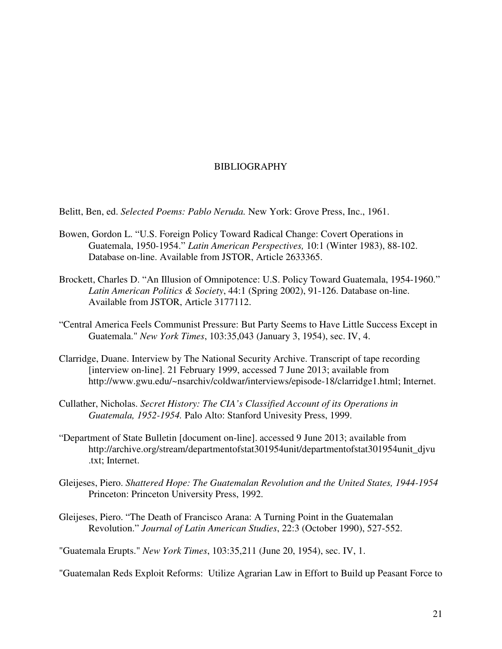## BIBLIOGRAPHY

Belitt, Ben, ed. *Selected Poems: Pablo Neruda.* New York: Grove Press, Inc., 1961.

- Bowen, Gordon L. "U.S. Foreign Policy Toward Radical Change: Covert Operations in Guatemala, 1950-1954." *Latin American Perspectives,* 10:1 (Winter 1983), 88-102. Database on-line. Available from JSTOR, Article 2633365.
- Brockett, Charles D. "An Illusion of Omnipotence: U.S. Policy Toward Guatemala, 1954-1960." *Latin American Politics & Society*, 44:1 (Spring 2002), 91-126. Database on-line. Available from JSTOR, Article 3177112.
- "Central America Feels Communist Pressure: But Party Seems to Have Little Success Except in Guatemala." *New York Times*, 103:35,043 (January 3, 1954), sec. IV, 4.
- Clarridge, Duane. Interview by The National Security Archive. Transcript of tape recording [interview on-line]. 21 February 1999, accessed 7 June 2013; available from http://www.gwu.edu/~nsarchiv/coldwar/interviews/episode-18/clarridge1.html; Internet.
- Cullather, Nicholas. *Secret History: The CIA's Classified Account of its Operations in Guatemala, 1952-1954.* Palo Alto: Stanford Univesity Press, 1999.
- "Department of State Bulletin [document on-line]. accessed 9 June 2013; available from http://archive.org/stream/departmentofstat301954unit/departmentofstat301954unit\_djvu .txt; Internet.
- Gleijeses, Piero. *Shattered Hope: The Guatemalan Revolution and the United States, 1944-1954* Princeton: Princeton University Press, 1992.
- Gleijeses, Piero. "The Death of Francisco Arana: A Turning Point in the Guatemalan Revolution." *Journal of Latin American Studies*, 22:3 (October 1990), 527-552.

"Guatemala Erupts." *New York Times*, 103:35,211 (June 20, 1954), sec. IV, 1.

"Guatemalan Reds Exploit Reforms: Utilize Agrarian Law in Effort to Build up Peasant Force to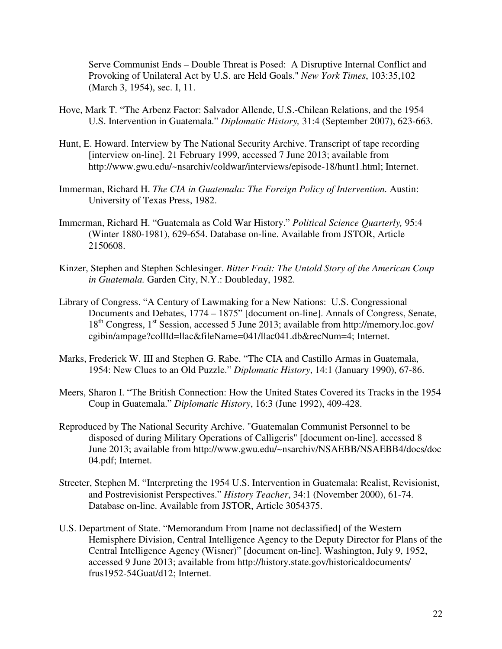Serve Communist Ends – Double Threat is Posed: A Disruptive Internal Conflict and Provoking of Unilateral Act by U.S. are Held Goals." *New York Times*, 103:35,102 (March 3, 1954), sec. I, 11.

- Hove, Mark T. "The Arbenz Factor: Salvador Allende, U.S.-Chilean Relations, and the 1954 U.S. Intervention in Guatemala." *Diplomatic History,* 31:4 (September 2007), 623-663.
- Hunt, E. Howard. Interview by The National Security Archive. Transcript of tape recording [interview on-line]. 21 February 1999, accessed 7 June 2013; available from http://www.gwu.edu/~nsarchiv/coldwar/interviews/episode-18/hunt1.html; Internet.
- Immerman, Richard H. *The CIA in Guatemala: The Foreign Policy of Intervention.* Austin: University of Texas Press, 1982.
- Immerman, Richard H. "Guatemala as Cold War History." *Political Science Quarterly,* 95:4 (Winter 1880-1981), 629-654. Database on-line. Available from JSTOR, Article 2150608.
- Kinzer, Stephen and Stephen Schlesinger. *Bitter Fruit: The Untold Story of the American Coup in Guatemala.* Garden City, N.Y.: Doubleday, 1982.
- Library of Congress. "A Century of Lawmaking for a New Nations: U.S. Congressional Documents and Debates, 1774 – 1875" [document on-line]. Annals of Congress, Senate, 18th Congress, 1st Session, accessed 5 June 2013; available from http://memory.loc.gov/ cgibin/ampage?collId=llac&fileName=041/llac041.db&recNum=4; Internet.
- Marks, Frederick W. III and Stephen G. Rabe. "The CIA and Castillo Armas in Guatemala, 1954: New Clues to an Old Puzzle." *Diplomatic History*, 14:1 (January 1990), 67-86.
- Meers, Sharon I. "The British Connection: How the United States Covered its Tracks in the 1954 Coup in Guatemala." *Diplomatic History*, 16:3 (June 1992), 409-428.
- Reproduced by The National Security Archive. "Guatemalan Communist Personnel to be disposed of during Military Operations of Calligeris" [document on-line]. accessed 8 June 2013; available from http://www.gwu.edu/~nsarchiv/NSAEBB/NSAEBB4/docs/doc 04.pdf; Internet.
- Streeter, Stephen M. "Interpreting the 1954 U.S. Intervention in Guatemala: Realist, Revisionist, and Postrevisionist Perspectives." *History Teacher*, 34:1 (November 2000), 61-74. Database on-line. Available from JSTOR, Article 3054375.
- U.S. Department of State. "Memorandum From [name not declassified] of the Western Hemisphere Division, Central Intelligence Agency to the Deputy Director for Plans of the Central Intelligence Agency (Wisner)" [document on-line]. Washington, July 9, 1952, accessed 9 June 2013; available from http://history.state.gov/historicaldocuments/ frus1952-54Guat/d12; Internet.